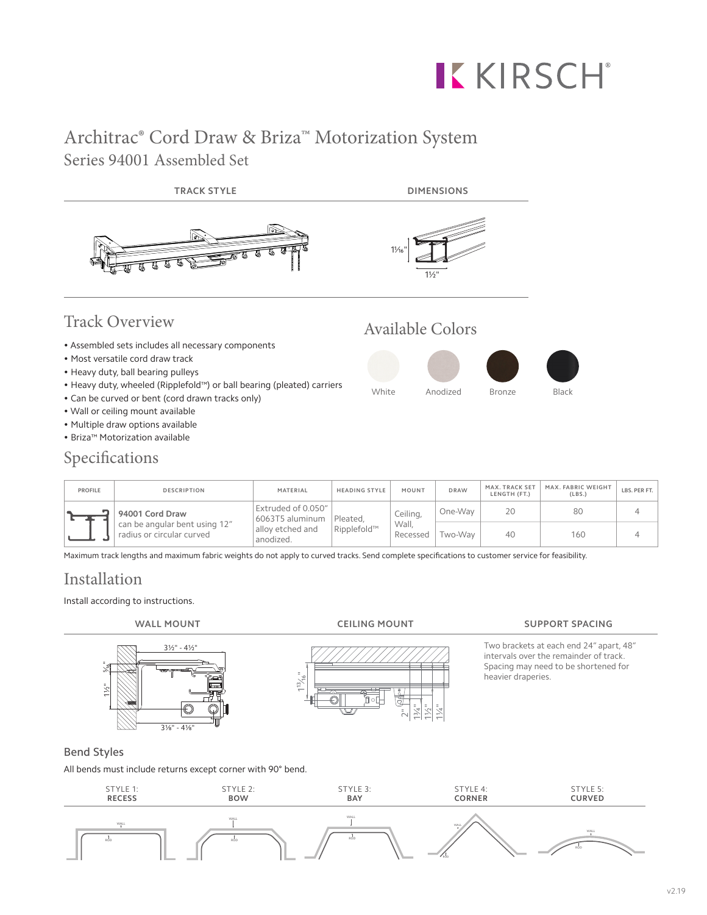# **KKIRSCH®**

## Architrac® Cord Draw & Briza™ Motorization System Series 94001 Assembled Set



- Can be curved or bent (cord drawn tracks only)
- Wall or ceiling mount available
- Multiple draw options available
- Briza™ Motorization available

## Specifications

| <b>PROFILE</b> | <b>DESCRIPTION</b>                                         | MATERIAL                              | <b>HEADING STYLE</b>    | MOUNT                         | <b>DRAW</b> | MAX. TRACK SET<br>LENGTH (FT.) | MAX. FABRIC WEIGHT<br>(LBS.) | LBS. PER FT. |
|----------------|------------------------------------------------------------|---------------------------------------|-------------------------|-------------------------------|-------------|--------------------------------|------------------------------|--------------|
|                | 94001 Cord Draw                                            | Extruded of 0.050"<br>6063T5 aluminum | Pleated.<br>Ripplefold™ | Ceiling,<br>Wall.<br>Recessed | One-Way     | 20                             | 80                           |              |
|                | can be angular bent using 12"<br>radius or circular curved | allov etched and<br>anodized.         |                         |                               | Two-Wav     | 40                             | 160                          |              |

Maximum track lengths and maximum fabric weights do not apply to curved tracks. Send complete specifications to customer service for feasibility.

 $1^{3}/^{16}$ 

## Installation

Install according to instructions.

 $\bar{\tilde{\;}}$ 1¾" 1½" 1¼"

#### **WALL MOUNT CEILING MOUNT SUPPORT SPACING**

Two brackets at each end 24" apart, 48" intervals over the remainder of track. Spacing may need to be shortened for heavier draperies.



1½"

5⁄₁₆"

All bends must include returns except corner with 90° bend.

 $3\frac{1}{8}$ " -  $4\frac{1}{8}$ 

3½" - 4½"